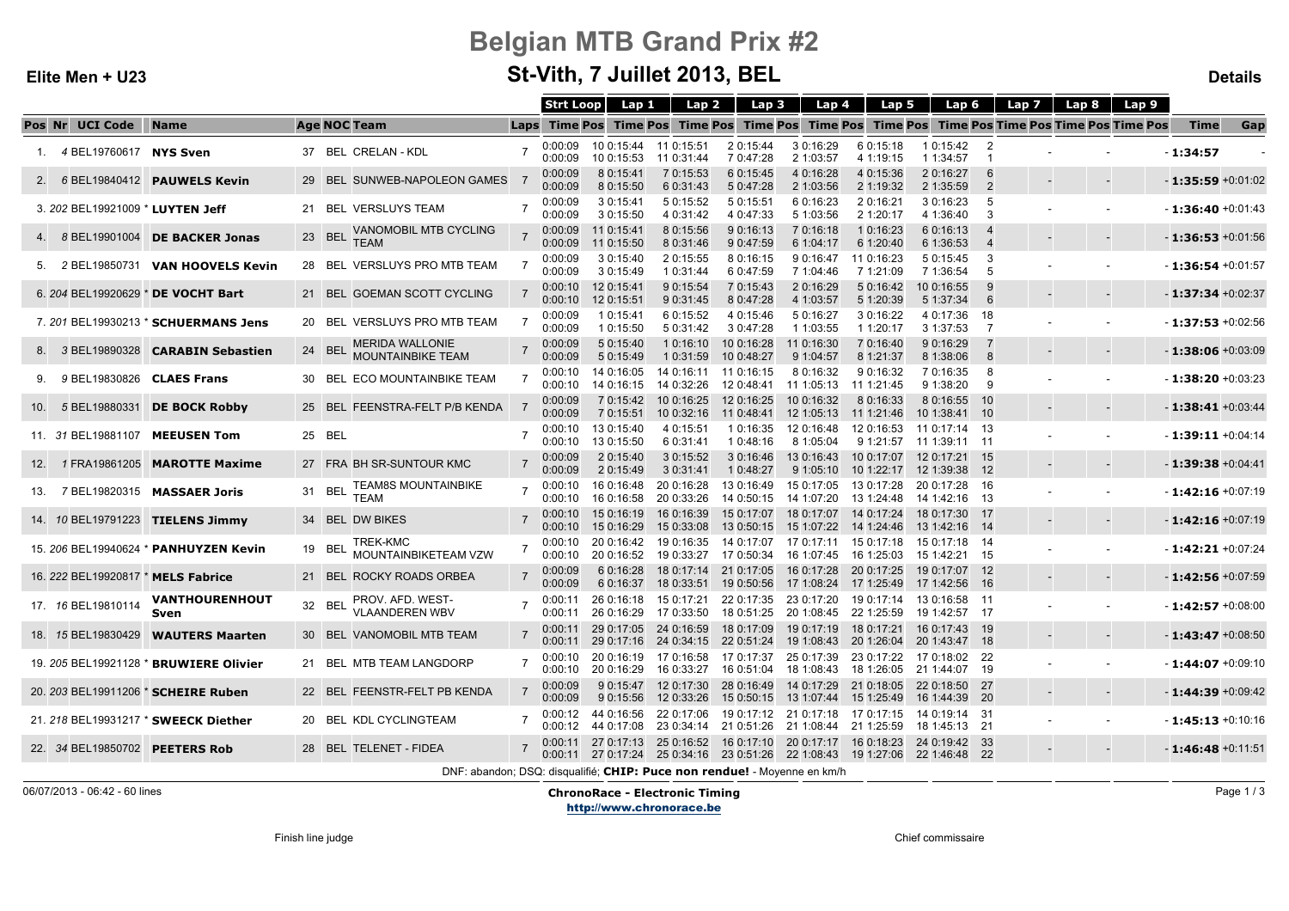# Belgian MTB Grand Prix #2

## St-Vith, 7 Juillet 2013, BEL

#### Details

|                                    |                                           |                                                                          | <b>Strt Loop</b>   | Lap 1                                                    | Lap 2                                                                        | Lap 3                               | Lap 4                    | Lap 5                    | Lap 6                          |                      | Lap 7 | Lap $8$  <br>Lap 9                                                                             |                      |     |
|------------------------------------|-------------------------------------------|--------------------------------------------------------------------------|--------------------|----------------------------------------------------------|------------------------------------------------------------------------------|-------------------------------------|--------------------------|--------------------------|--------------------------------|----------------------|-------|------------------------------------------------------------------------------------------------|----------------------|-----|
| Pos Nr UCI Code                    | <b>Name</b>                               | <b>Age NOC Team</b>                                                      |                    |                                                          |                                                                              |                                     |                          |                          |                                |                      |       | Laps Time Pos Time Pos Time Pos Time Pos Time Pos Time Pos Time Pos Time Pos Time Pos Time Pos | Time                 | Gap |
| 1. 4 BEL19760617 NYS Sven          |                                           | 37 BEL CRELAN - KDL                                                      | 0:00:09<br>0:00:09 | 10 0:15:44 11 0:15:51<br>10 0:15:53 11 0:31:44           |                                                                              | 2 0:15:44<br>7 0:47:28              | 3 0:16:29<br>2 1:03:57   | 6 0:15:18<br>4 1:19:15   | 1 0:15:42<br>1 1:34:57         | $\overline{2}$<br>-1 |       |                                                                                                | $-1:34:57$           |     |
|                                    | 2. 6 BEL19840412 PAUWELS Kevin            | 29 BEL SUNWEB-NAPOLEON GAMES                                             | 0:00:09<br>0:00:09 | 8 0:15:41<br>8 0:15:50                                   | 7 0:15:53<br>6 0:31:43                                                       | 6 0:15:45<br>5 0:47:28              | 4 0:16:28<br>2 1:03:56   | 4 0:15:36<br>2 1:19:32   | 2 0:16:27<br>2 1:35:59         | 6<br>$\overline{2}$  |       |                                                                                                | $-1:35:59 +0:01:02$  |     |
| 3. 202 BEL19921009 * LUYTEN Jeff   |                                           | 21 BEL VERSLUYS TEAM                                                     | 0:00:09<br>0:00:09 | 3 0:15:41<br>3 0:15:50                                   | 5 0:15:52<br>4 0:31:42                                                       | 5 0:15:51<br>4 0:47:33              | 6 0:16:23<br>5 1:03:56   | 2 0:16:21<br>2 1:20:17   | 3 0:16:23<br>4 1:36:40         | 5<br>-3              |       |                                                                                                | $-1:36:40+0:01:43$   |     |
|                                    | 4. 8 BEL19901004 DE BACKER Jonas          | VANOMOBIL MTB CYCLING<br>23 BEL<br><b>TEAM</b>                           | 0:00:09<br>0:00:09 | 11 0:15:41<br>11 0:15:50                                 | 8 0:15:56<br>8 0:31:46                                                       | 9 0:16:13<br>9 0:47:59              | 7 0:16:18<br>6 1:04:17   | 1 0:16:23<br>6 1:20:40   | 6 0:16:13<br>6 1:36:53         | 4<br>$\overline{4}$  |       |                                                                                                | $-1:36:53 +0:01:56$  |     |
| 5. 2 BEL19850731                   | <b>VAN HOOVELS Kevin</b>                  | 28 BEL VERSLUYS PRO MTB TEAM                                             | 0:00:09<br>0:00:09 | 3 0:15:40<br>3 0:15:49                                   | 2 0:15:55<br>1 0:31:44                                                       | 8 0:16:15<br>6 0:47:59              | 9 0:16:47<br>7 1:04:46   | 11 0:16:23<br>7 1:21:09  | 5 0:15:45<br>7 1:36:54         | -3<br>-5             |       |                                                                                                | $-1:36:54 +0:01:57$  |     |
|                                    | 6. 204 BEL19920629 * DE VOCHT Bart        | 21 BEL GOEMAN SCOTT CYCLING                                              | 0:00:10<br>0:00:10 | 12 0:15:41<br>12 0:15:51                                 | 9 0:15:54<br>9 0:31:45                                                       | 7 0:15:43<br>8 0:47:28              | 2 0:16:29<br>4 1:03:57   | 5 0:16:42<br>5 1:20:39   | 10 0:16:55<br>5 1:37:34        | -9<br>6              |       |                                                                                                | $-1:37:34 + 0.02:37$ |     |
|                                    | 7. 201 BEL19930213 * SCHUERMANS Jens      | 20 BEL VERSLUYS PRO MTB TEAM                                             | 0:00:09<br>0:00:09 | 1 0:15:41<br>1 0:15:50                                   | 6 0:15:52<br>5 0:31:42                                                       | 4 0:15:46<br>3 0:47:28              | 5 0:16:27<br>1 1:03:55   | 3 0:16:22<br>1 1:20:17   | 4 0:17:36<br>3 1:37:53         | -18<br>7             |       |                                                                                                | $-1:37:53 +0.02:56$  |     |
|                                    | 8. 3 BEL19890328 <b>CARABIN Sebastien</b> | <b>MERIDA WALLONIE</b><br>24 BEL<br><b>MOUNTAINBIKE TEAM</b>             | 0:00:09<br>0:00:09 | 5 0:15:40<br>5 0:15:49                                   | 1 0:16:10<br>1 0:31:59                                                       | 10 0:16:28<br>10 0:48:27            | 11 0:16:30<br>9 1:04:57  | 7 0:16:40<br>8 1:21:37   | 9 0:16:29<br>8 1:38:06         | 7<br>8               |       |                                                                                                | $-1:38:06 + 0.03:09$ |     |
| 9. 9 BEL19830826 CLAES Frans       |                                           | 30 BEL ECO MOUNTAINBIKE TEAM                                             | 0:00:10<br>0:00:10 | 14 0:16:05<br>14 0:16:15                                 | 14 0:16:11 11 0:16:15<br>14 0:32:26                                          | 12 0:48:41                          | 8 0:16:32<br>11 1:05:13  | 9 0:16:32<br>11 1:21:45  | 7 0:16:35<br>9 1:38:20         | 8<br>9               |       |                                                                                                | $-1:38:20 + 0:03:23$ |     |
|                                    | 10. 5 BEL19880331 DE BOCK Robby           | 25 BEL FEENSTRA-FELT P/B KENDA                                           | 0:00:09<br>0:00:09 | 7 0:15:42<br>7 0:15:51                                   | 10 0:16:25<br>10 0:32:16                                                     | 12 0:16:25<br>11 0:48:41            | 10 0:16:32<br>12 1:05:13 | 8 0:16:33<br>11 1:21:46  | 8 0:16:55<br>10 1:38:41 10     | - 10                 |       |                                                                                                | $-1:38:41 + 0:03:44$ |     |
|                                    | 11. 31 BEL19881107 MEEUSEN Tom            | 25 BEL                                                                   | 0:00:10<br>0:00:10 | 13 0:15:40<br>13 0:15:50                                 | 4 0:15:51<br>6 0:31:41                                                       | 1 0:16:35<br>1 0:48:16              | 12 0:16:48<br>8 1:05:04  | 12 0:16:53<br>9 1:21:57  | 11 0:17:14 13<br>11 1:39:11 11 |                      |       |                                                                                                | $-1:39:11 + 0:04:14$ |     |
|                                    | 12. 1 FRA19861205 MAROTTE Maxime          | 27 FRA BH SR-SUNTOUR KMC                                                 | 0:00:09<br>0:00:09 | 2 0:15:40<br>2 0:15:49                                   | 3 0:15:52<br>3 0:31:41                                                       | 3 0:16:46<br>1 0:48:27              | 13 0:16:43<br>9 1:05:10  | 10 0:17:07<br>10 1:22:17 | 12 0:17:21 15<br>12 1:39:38 12 |                      |       |                                                                                                | $-1:39:38 + 0:04:41$ |     |
|                                    | 13. 7 BEL19820315 MASSAER Joris           | <b>TEAM8S MOUNTAINBIKE</b><br>31 BEL<br><b>TEAM</b>                      | 0:00:10<br>0:00:10 | 16 0:16:48<br>16 0:16:58                                 | 20 0:16:28<br>20 0:33:26                                                     | 13 0:16:49<br>14 0:50:15            | 15 0:17:05<br>14 1:07:20 | 13 0:17:28<br>13 1:24:48 | 20 0:17:28 16<br>14 1:42:16 13 |                      |       |                                                                                                | $-1:42:16 + 0:07:19$ |     |
|                                    | 14. 10 BEL19791223 TIELENS Jimmy          | 34 BEL DW BIKES                                                          | 0:00:10<br>0:00:10 | 15 0:16:19  16 0:16:39<br>15 0:16:29                     | 15 0:33:08                                                                   | 15 0:17:07<br>13 0:50:15            | 18 0:17:07<br>15 1:07:22 | 14 0:17:24<br>14 1:24:46 | 18 0:17:30 17<br>13 1:42:16 14 |                      |       |                                                                                                | $-1:42:16 + 0.07:19$ |     |
|                                    | 15. 206 BEL19940624 * PANHUYZEN Kevin     | TREK-KMC<br>19 BEL<br>MOUNTAINBIKETEAM VZW                               | 0:00:10<br>0:00:10 | 20 0:16:42<br>20 0:16:52                                 | 19 0:16:35<br>19 0:33:27                                                     | 14 0:17:07<br>17 0:50:34            | 17 0:17:11<br>16 1:07:45 | 15 0:17:18<br>16 1:25:03 | 15 0:17:18 14<br>15 1:42:21 15 |                      |       |                                                                                                | $-1:42:21 +0:07:24$  |     |
| 16. 222 BEL19920817 * MELS Fabrice |                                           | 21 BEL ROCKY ROADS ORBEA                                                 | 0:00:09<br>0:00:09 | 6 0:16:28<br>6 0:16:37                                   | 18 0:17:14<br>18 0:33:51                                                     | 21 0:17:05<br>19 0:50:56            | 16 0:17:28<br>17 1:08:24 | 20 0:17:25<br>17 1:25:49 | 19 0:17:07 12<br>17 1:42:56    | - 16                 |       |                                                                                                | $-1:42:56 + 0.07:59$ |     |
| 17. 16 BEL19810114                 | VANTHOURENHOUT<br>Sven                    | PROV. AFD. WEST-<br>32 BEL<br><b>VLAANDEREN WBV</b>                      | 0:00:11<br>0:00:11 | 26 0:16:29                                               | 26 0:16:18 15 0:17:21<br>17 0:33:50                                          | 22 0:17:35 23 0:17:20<br>18 0:51:25 | 20 1:08:45               | 19 0:17:14<br>22 1:25:59 | 13 0:16:58 11<br>19 1:42:57 17 |                      |       |                                                                                                | $-1:42:57 +0:08:00$  |     |
|                                    | 18. 15 BEL19830429 <b>WAUTERS Maarten</b> | 30 BEL VANOMOBIL MTB TEAM                                                | 0:00:11            | 29 0:17:05 24 0:16:59<br>$0.00:11$ 29 0:17:16 24 0:34:15 |                                                                              | 18 0:17:09<br>22 0:51:24            | 19 0:17:19<br>19 1:08:43 | 18 0:17:21<br>20 1:26:04 | 16 0:17:43 19<br>20 1:43:47 18 |                      |       |                                                                                                | $-1:43:47+0.08:50$   |     |
|                                    | 19. 205 BEL19921128 * BRUWIERE Olivier    | 21 BEL MTB TEAM LANGDORP                                                 | 0:00:10<br>0:00:10 | 20 0:16:19 17 0:16:58<br>20 0:16:29                      | 16 0:33:27                                                                   | 17 0:17:37<br>16 0:51:04            | 25 0:17:39<br>18 1:08:43 | 23 0:17:22<br>18 1:26:05 | 17 0:18:02 22<br>21 1:44:07 19 |                      |       |                                                                                                | $-1:44:07 +0:09:10$  |     |
|                                    | 20. 203 BEL19911206 * SCHEIRE Ruben       | 22 BEL FEENSTR-FELT PB KENDA                                             | 0:00:09<br>0:00:09 | 9 0:15:47<br>9 0:15:56                                   | 12 0:17:30<br>12 0:33:26                                                     | 28 0:16:49<br>15 0:50:15            | 14 0:17:29<br>13 1:07:44 | 21 0:18:05<br>15 1:25:49 | 22 0:18:50 27<br>16 1:44:39 20 |                      |       |                                                                                                | $-1:44:39 + 0.09:42$ |     |
|                                    | 21. 218 BEL19931217 * SWEECK Diether      | 20 BEL KDL CYCLINGTEAM                                                   | 0:00:12<br>0:00:12 | 44 0:16:56<br>44 0:17:08                                 | 22 0:17:06<br>23 0:34:14 21 0:51:26                                          | 19 0:17:12 21 0:17:18               | 21 1:08:44 21 1:25:59    | 17 0:17:15               | 14 0:19:14 31<br>18 1:45:13 21 |                      |       |                                                                                                | $-1:45:13 + 0:10:16$ |     |
| 22. 34 BEL19850702 PEETERS Rob     |                                           | 28 BEL TELENET - FIDEA                                                   | 0:00:11            | 27 0:17:13 25 0:16:52                                    | 0:00:11 27 0:17:24 25 0:34:16 23 0:51:26 22 1:08:43 19 1:27:06 22 1:46:48 22 | 16 0:17:10 20 0:17:17               |                          | 16 0:18:23               | 24 0:19:42 33                  |                      |       |                                                                                                | $-1:46:48 +0:11:51$  |     |
|                                    |                                           | DNF: abandon; DSQ: disqualifié; CHIP: Puce non rendue! - Moyenne en km/h |                    |                                                          |                                                                              |                                     |                          |                          |                                |                      |       |                                                                                                |                      |     |

06/07/2013 - 06:42 - 60 lines

Elite Men + U23

ChronoRace - Electronic Timing

http://www.chronorace.be

Page 1 / 3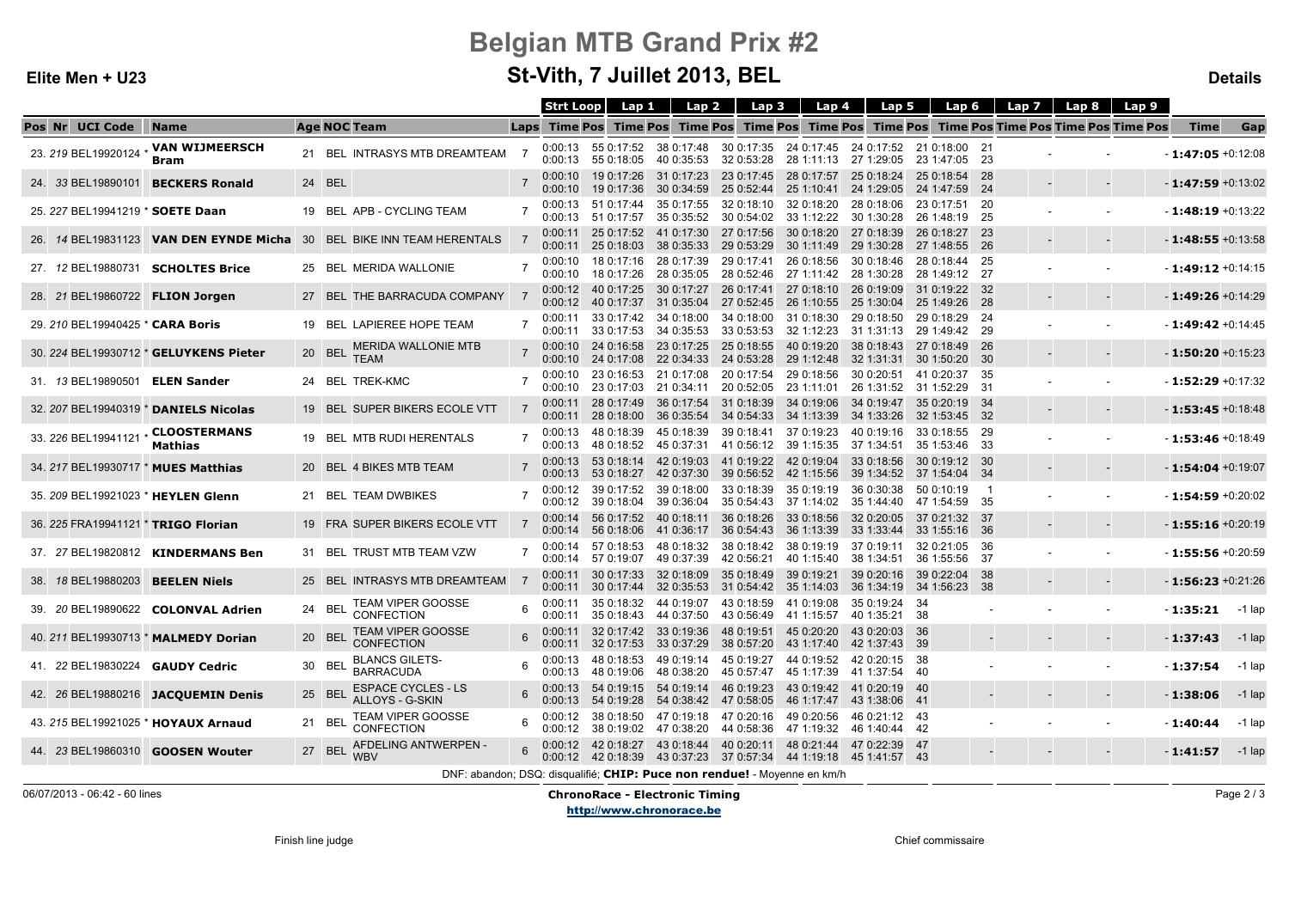#### Elite Men + U23

# Belgian MTB Grand Prix #2

## St-Vith, 7 Juillet 2013, BEL

#### Letters and the contract of the contract of the contract of the contract of the contract of the contract of the contract of the contract of the contract of the contract of the contract of the contract of the contract of th

|                                         |                                        |                                                                          | <b>Strt Loop</b>   | Lap 1                                | Lap 2                                                                                      | Lap 3                    | Lap 4                               | Lap 5                                                                           | Lap 6                                  |              | Lap 7 | Lap 8<br>Lap 9                                      |                      |          |
|-----------------------------------------|----------------------------------------|--------------------------------------------------------------------------|--------------------|--------------------------------------|--------------------------------------------------------------------------------------------|--------------------------|-------------------------------------|---------------------------------------------------------------------------------|----------------------------------------|--------------|-------|-----------------------------------------------------|----------------------|----------|
| Pos Nr UCI Code                         | <b>Name</b>                            | <b>Age NOC Team</b>                                                      |                    |                                      | Laps Time Pos Time Pos Time Pos Time Pos Time Pos                                          |                          |                                     |                                                                                 |                                        |              |       | <b>Time Pos Time Pos Time Pos Time Pos Time Pos</b> | Time                 | Gap      |
| 23. 219 BEL19920124                     | <b>VAN WIJMEERSCH</b><br><b>Bram</b>   | 21 BEL INTRASYS MTB DREAMTEAM                                            | 0:00:13<br>0:00:13 | 55 0:18:05                           | 55 0:17:52 38 0:17:48<br>40 0:35:53                                                        | 32 0:53:28               | 28 1:11:13                          | 30 0:17:35 24 0:17:45 24 0:17:52 21 0:18:00 21<br>27 1:29:05                    | 23 1:47:05 23                          |              |       |                                                     | $-1:47:05 +0:12:08$  |          |
|                                         | 24. 33 BEL19890101 BECKERS Ronald      | 24 BEL                                                                   | 0:00:10<br>0:00:10 | 19 0:17:26<br>19 0:17:36             | 31 0:17:23<br>30 0:34:59                                                                   | 23 0:17:45<br>25 0:52:44 | 28 0:17:57<br>25 1:10:41            | 25 0:18:24<br>24 1:29:05                                                        | 25 0:18:54 28<br>24 1:47:59 24         |              |       |                                                     | $-1:47:59 + 0:13:02$ |          |
| 25. 227 BEL19941219 * SOETE Daan        |                                        | 19 BEL APB - CYCLING TEAM                                                | 0:00:13            | $0.00:13$ 51 0:17:57                 | 51 0:17:44 35 0:17:55 32 0:18:10<br>35 0:35:52                                             | 30 0:54:02               | 32 0:18:20<br>33 1:12:22            | 28 0:18:06<br>30 1:30:28                                                        | 23 0:17:51 20<br>26 1:48:19 25         |              |       |                                                     | $-1:48:19 + 0:13:22$ |          |
|                                         |                                        | 26. 14 BEL19831123 VAN DEN EYNDE Micha 30 BEL BIKE INN TEAM HERENTALS    | 0:00:11<br>0:00:11 | 25 0:17:52<br>25 0:18:03             | 41 0:17:30<br>38 0:35:33                                                                   | 27 0:17:56<br>29 0:53:29 | 30 0:18:20<br>30 1:11:49            | 27 0:18:39<br>29 1:30:28                                                        | 26 0:18:27 23<br>27 1:48:55 26         |              |       |                                                     | $-1:48:55 + 0:13:58$ |          |
| 27. 12 BEL19880731                      | <b>SCHOLTES Brice</b>                  | 25 BEL MERIDA WALLONIE                                                   | 0:00:10<br>0:00:10 | 18 0:17:26                           | 18 0:17:16 28 0:17:39<br>28 0:35:05                                                        | 29 0:17:41<br>28 0:52:46 | 26 0:18:56<br>27 1:11:42            | 30 0:18:46<br>28 1:30:28                                                        | 28 0:18:44 25<br>28 1:49:12 27         |              |       |                                                     | $-1:49:12 +0:14:15$  |          |
| 28. 21 BEL19860722 FLION Jorgen         |                                        | 27 BEL THE BARRACUDA COMPANY                                             | 0:00:12<br>0:00:12 | 40 0:17:25<br>40 0:17:37             | 30 0:17:27                                                                                 | 26 0:17:41               | 27 0:18:10                          | 26 0:19:09<br>31 0:35:04 27 0:52:45 26 1:10:55 25 1:30:04 25 1:49:26 28         | 31 0:19:22 32                          |              |       |                                                     | $-1:49:26 + 0:14:29$ |          |
| 29. 210 BEL19940425 * CARA Boris        |                                        | 19 BEL LAPIEREE HOPE TEAM                                                | 0:00:11<br>0:00:11 | 33 0:17:53                           | 33 0:17:42 34 0:18:00 34 0:18:00<br>34 0:35:53                                             | 33 0:53:53               | 31 0:18:30<br>32 1:12:23            | 29 0:18:50<br>31 1:31:13                                                        | 29 0:18:29 24<br>29 1:49:42 29         |              |       |                                                     | $-1:49:42 +0:14:45$  |          |
|                                         | 30. 224 BEL19930712 * GELUYKENS Pieter | <b>MERIDA WALLONIE MTB</b><br>20 BEL<br><b>TEAM</b>                      | 0:00:10            | 24 0:16:58<br>$0.00:10$ 24 $0.17:08$ | 23 0:17:25<br>22 0:34:33                                                                   | 25 0:18:55<br>24 0:53:28 | 40 0:19:20<br>29 1:12:48            | 38 0:18:43<br>32 1:31:31                                                        | 27 0:18:49 26<br>30 1:50:20 30         |              |       |                                                     | $-1:50:20 + 0:15:23$ |          |
| 31. 13 BEL19890501 ELEN Sander          |                                        | 24 BEL TREK-KMC                                                          | 0:00:10            | 23 0:17:03                           | 0:00:10 23 0:16:53 21 0:17:08 20 0:17:54<br>21 0:34:11                                     | 20 0:52:05               | 29 0:18:56<br>23 1:11:01            | 30 0:20:51<br>26 1:31:52                                                        | 41 0:20:37 35<br>31 1:52:29 31         |              |       |                                                     | $-1:52:29 +0:17:32$  |          |
|                                         | 32. 207 BEL19940319 * DANIELS Nicolas  | 19 BEL SUPER BIKERS ECOLE VTT                                            |                    |                                      | 0:00:11 28 0:17:49 36 0:17:54<br>$0.00:11$ 28 0:18:00 36 0:35:54                           | 31 0:18:39<br>34 0:54:33 | 34 0:19:06<br>34 1:13:39            | 34 0:19:47<br>34 1:33:26                                                        | 35 0:20:19 34<br>32 1:53:45 32         |              |       |                                                     | $-1:53:45 + 0:18:48$ |          |
| 33. 226 BEL19941121                     | <b>CLOOSTERMANS</b><br>Mathias         | 19 BEL MTB RUDI HERENTALS                                                | 0:00:13<br>0:00:13 | 48 0:18:39<br>48 0:18:52             | 45 0:18:39<br>45 0:37:31                                                                   | 39 0:18:41               | 37 0:19:23<br>41 0:56:12 39 1:15:35 | 40 0:19:16<br>37 1:34:51                                                        | 33 0:18:55 29<br>35 1:53:46 33         |              |       |                                                     | $-1:53:46 + 0:18:49$ |          |
| 34. 217 BEL19930717 * MUES Matthias     |                                        | 20 BEL 4 BIKES MTB TEAM                                                  | 0:00:13<br>0:00:13 |                                      | 53 0:18:14 42 0:19:03<br>53 0:18:27 42 0:37:30 39 0:56:52 42 1:15:56                       | 41 0:19:22               | 42 0:19:04                          | 33 0:18:56<br>39 1:34:52                                                        | 30 0:19:12 30<br>37 1:54:04 34         |              |       |                                                     | $-1:54:04 +0:19:07$  |          |
| 35. 209 BEL19921023 * HEYLEN Glenn      |                                        | 21 BEL TEAM DWBIKES                                                      | 0:00:12<br>0:00:12 | 39 0:17:52<br>39 0:18:04             | 39 0:18:00<br>39 0:36:04                                                                   | 33 0:18:39<br>35 0:54:43 | 35 0:19:19<br>37 1:14:02            | 36 0:30:38                                                                      | 50 0:10:19<br>35 1:44:40 47 1:54:59 35 | -1           |       |                                                     | $-1:54:59 +0:20:02$  |          |
| 36. 225 FRA19941121 * TRIGO Florian     |                                        | 19 FRA SUPER BIKERS ECOLE VTT                                            | 0:00:14<br>0:00:14 | 56 0:17:52<br>56 0:18:06             | 40 0:18:11<br>41 0:36:17                                                                   | 36 0:18:26<br>36 0:54:43 | 33 0:18:56<br>36 1:13:39            | 32 0:20:05<br>33 1:33:44                                                        | 37 0:21:32 37<br>33 1:55:16 36         |              |       |                                                     | $-1:55:16 + 0:20:19$ |          |
|                                         | 37. 27 BEL19820812 KINDERMANS Ben      | 31 BEL TRUST MTB TEAM VZW                                                | 0:00:14<br>0:00:14 | 57 0:18:53<br>57 0:19:07             | 48 0:18:32 38 0:18:42 38 0:19:19<br>49 0:37:39                                             | 42 0:56:21               | 40 1:15:40                          | 37 0:19:11<br>38 1:34:51                                                        | 32 0:21:05<br>36 1:55:56               | - 36<br>- 37 |       |                                                     | $-1:55:56 + 0:20:59$ |          |
| 38. 18 BEL19880203 BEELEN Niels         |                                        | 25 BEL INTRASYS MTB DREAMTEAM                                            | 0:00:11            | $0:00:11$ 30 0:17:44                 | 30 0:17:33 32 0:18:09<br>32 0:35:53                                                        | 35 0:18:49<br>31 0:54:42 | 39 0:19:21<br>35 1:14:03            | 39 0:20:16<br>36 1:34:19                                                        | 39 0:22:04<br>34 1:56:23               | -38<br>-38   |       |                                                     | $-1:56:23 +0:21:26$  |          |
|                                         | 39. 20 BEL19890622 COLONVAL Adrien     | <b>TEAM VIPER GOOSSE</b><br>24 BEL<br>CONFECTION                         |                    |                                      | 0:00:11 35 0:18:32 44 0:19:07 43 0:18:59 41 0:19:08<br>0:00:11 35 0:18:43 44 0:37:50       | 43 0:56:49               | 41 1:15:57                          | 35 0:19:24<br>40 1:35:21 38                                                     | -34                                    |              |       |                                                     | $-1:35:21$           | -1 lap   |
|                                         | 40. 211 BEL19930713 * MALMEDY Dorian   | <b>TEAM VIPER GOOSSE</b><br>20 BEL<br><b>CONFECTION</b>                  |                    |                                      | $0:00:11$ 32 0:17:42 33 0:19:36<br>0:00:11 32 0:17:53 33 0:37:29 38 0:57:20 43 1:17:40     | 48 0:19:51               | 45 0:20:20                          | 43 0:20:03<br>42 1:37:43                                                        | - 36<br>- 39                           |              |       |                                                     | $-1:37:43$           | $-1$ lap |
| 41. 22 BEL19830224 GAUDY Cedric         |                                        | <b>BLANCS GILETS-</b><br>30 BEL<br><b>BARRACUDA</b>                      |                    | $0:00:13$ 48 0:19:06                 | $0:00:13$ 48 0:18:53 49 0:19:14 45 0:19:27<br>48 0:38:20                                   |                          | 44 0:19:52<br>45 0:57:47 45 1:17:39 | 42 0:20:15<br>41 1:37:54 40                                                     | -38                                    |              |       |                                                     | $-1:37:54$           | -1 lap   |
|                                         | 42. 26 BEL19880216 JACQUEMIN Denis     | <b>ESPACE CYCLES - LS</b><br>25 BEL<br><b>ALLOYS - G-SKIN</b>            | 0:00:13<br>0:00:13 | 54 0:19:28                           | 54 0:19:15  54 0:19:14  46 0:19:23<br>54 0:38:42 47 0:58:05                                |                          | 43 0:19:42                          | 41 0:20:19<br>46 1:17:47 43 1:38:06                                             | - 40<br>- 41                           |              |       |                                                     | $-1:38:06$           | $-1$ lap |
|                                         | 43. 215 BEL19921025 * HOYAUX Arnaud    | <b>TEAM VIPER GOOSSE</b><br>21 BEL<br><b>CONFECTION</b>                  | 0:00:12<br>0:00:12 |                                      | 38 0:18:50 47 0:19:18 47 0:20:16 49 0:20:56<br>38 0:19:02 47 0:38:20 44 0:58:36 47 1:19:32 |                          |                                     | 46 0:21:12 43<br>46 1:40:44 42                                                  |                                        |              |       |                                                     | $-1:40:44$           | $-1$ lap |
| 44. 23 BEL19860310 <b>GOOSEN Wouter</b> |                                        | AFDELING ANTWERPEN -<br>27 BEL<br><b>WBV</b>                             | 0:00:12            |                                      | 42 0:18:27 43 0:18:44 40 0:20:11                                                           |                          | 48 0:21:44                          | 47 0:22:39<br>0:00:12 42 0:18:39 43 0:37:23 37 0:57:34 44 1:19:18 45 1:41:57 43 | - 47                                   |              |       |                                                     | $-1:41:57$           | $-1$ lap |
|                                         |                                        | DNF: abandon; DSQ: disqualifié; CHIP: Puce non rendue! - Moyenne en km/h |                    |                                      |                                                                                            |                          |                                     |                                                                                 |                                        |              |       |                                                     |                      |          |

06/07/2013 - 06:42 - 60 lines

ChronoRace - Electronic Timing

http://www.chronorace.be

Page 2 / 3